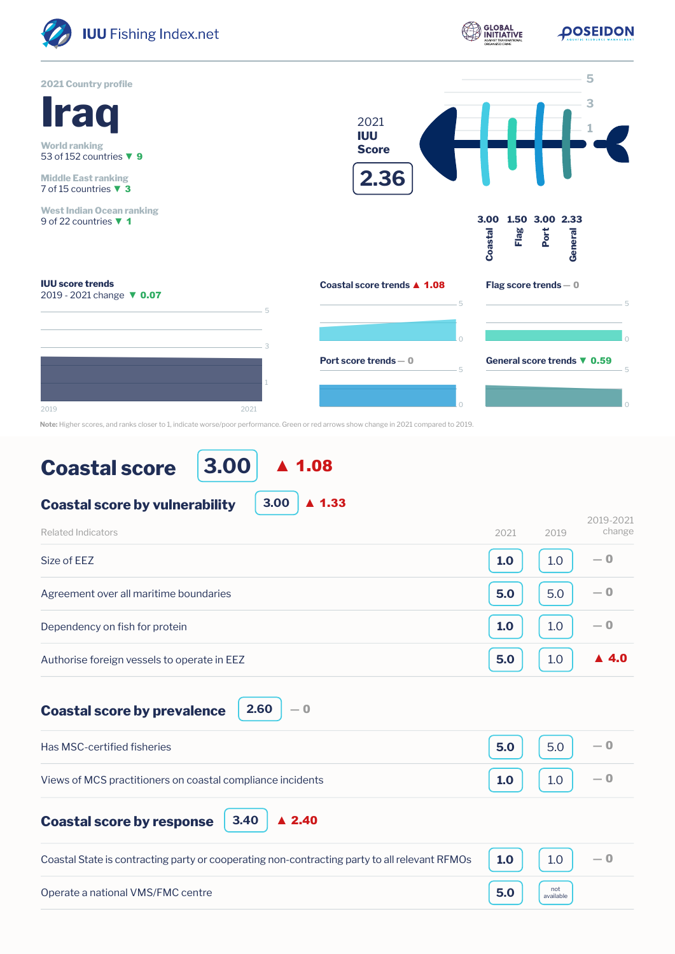

**Note:** Higher scores, and ranks closer to 1, indicate worse/poor performance. Green or red arrows show change in 2021 compared to 2019.

## **Coastal score**

**3.00** ▲ 1.08

| <b>Coastal score by vulnerability</b>       | 3.00 | $\blacktriangle$ 1.33 |      |      |                      |
|---------------------------------------------|------|-----------------------|------|------|----------------------|
| Related Indicators                          |      |                       | 2021 | 2019 | 2019-2021<br>change  |
| Size of EEZ                                 |      |                       | 1.0  | 1.0  | $-0$                 |
| Agreement over all maritime boundaries      |      |                       | 5.0  | 5.0  | $-0$                 |
| Dependency on fish for protein              |      |                       | 1.0  | 1.0  | $-0$                 |
| Authorise foreign vessels to operate in EEZ |      |                       | 5.0  | 1.0  | $\blacktriangle$ 4.0 |
|                                             |      |                       |      |      |                      |

**Coastal score by prevalence**

**2.60** ― 0

**3.40**

| Has MSC-certified fisheries                                | 5.0 | 5.0 |           |
|------------------------------------------------------------|-----|-----|-----------|
| Views of MCS practitioners on coastal compliance incidents | 1.0 |     | $\sim$ -0 |

**Coastal score by response**

| Coastal State is contracting party or cooperating non-contracting party to all relevant RFMOs $\vert$ 1.0 $\vert$ 1.0 $\vert$ |                                                                                              | $-0$ |
|-------------------------------------------------------------------------------------------------------------------------------|----------------------------------------------------------------------------------------------|------|
| Operate a national VMS/FMC centre                                                                                             | $\begin{array}{ c c c }\n\hline\n\textbf{5.0} & \text{and} \\ \text{available}\n\end{array}$ |      |

▲ 2.40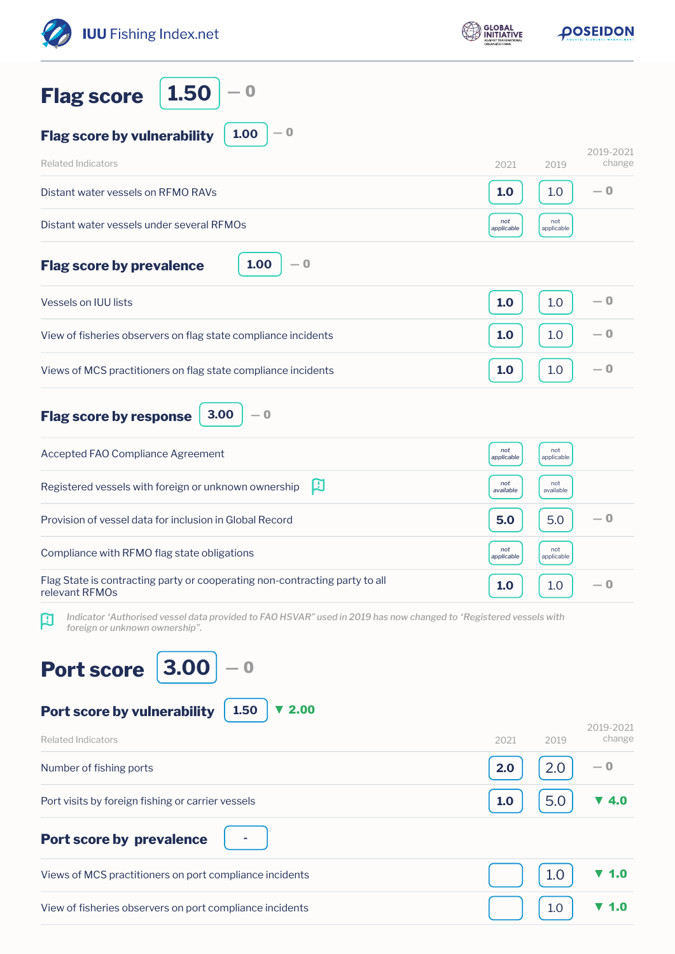| <b>IUU</b> Fishing Index.net                                                                                                                             | <b>GLOBAL</b>     | DOSEIDON          |                     |
|----------------------------------------------------------------------------------------------------------------------------------------------------------|-------------------|-------------------|---------------------|
| 1.50<br>$\bf{0}$<br><b>Flag score</b>                                                                                                                    |                   |                   |                     |
| $-0$<br>1.00<br><b>Flag score by vulnerability</b>                                                                                                       |                   |                   |                     |
| <b>Related Indicators</b>                                                                                                                                | 2021              | 2019              | 2019-2021<br>change |
| Distant water vessels on RFMO RAVs                                                                                                                       | 1.0               | 1.0               | — 0                 |
| Distant water vessels under several RFMOs                                                                                                                | not<br>applicable | not<br>applicable |                     |
| 1.00<br>$-0$<br><b>Flag score by prevalence</b>                                                                                                          |                   |                   |                     |
| Vessels on IUU lists                                                                                                                                     | 1.0               | 1.0               | — 0                 |
| View of fisheries observers on flag state compliance incidents                                                                                           | 1.0               | 1.0               | $-0$                |
| Views of MCS practitioners on flag state compliance incidents                                                                                            | 1.0               | 1.0               | $-0$                |
| 3.00<br>$-0$<br><b>Flag score by response</b>                                                                                                            |                   |                   |                     |
| Accepted FAO Compliance Agreement                                                                                                                        | not<br>applicable | not<br>applicable |                     |
| 口<br>Registered vessels with foreign or unknown ownership                                                                                                | not<br>available  | not<br>available  |                     |
| Provision of vessel data for inclusion in Global Record                                                                                                  | 5.0               | 5.0               | — 0                 |
| Compliance with RFMO flag state obligations                                                                                                              | not<br>applicable | not<br>applicable |                     |
| Flag State is contracting party or cooperating non-contracting party to all<br>relevant RFMOs                                                            | 1.0               | 1.0               | $-0$                |
| Indicator 'Authorised vessel data provided to FAO HSVAR" used in 2019 has now changed to 'Registered vessels with<br>口<br>foreign or unknown ownership". |                   |                   |                     |
| 3.00<br><b>Port score</b>                                                                                                                                |                   |                   |                     |
| Port score by vulnerability<br>1.50<br>▼ 2.00                                                                                                            |                   |                   | 2019-2021           |
| <b>Related Indicators</b>                                                                                                                                | 2021              | 2019              | change              |
| Number of fishing ports                                                                                                                                  | 2.0               | 2.0               | — 0                 |
| Port visits by foreign fishing or carrier vessels                                                                                                        | 1.0               | 5.0               | 4.0                 |
| <b>Port score by prevalence</b>                                                                                                                          |                   |                   |                     |
| Views of MCS practitioners on port compliance incidents                                                                                                  |                   | 1.0               | 1.0                 |
| View of fisheries observers on port compliance incidents                                                                                                 |                   | 1.0               | 1.0                 |